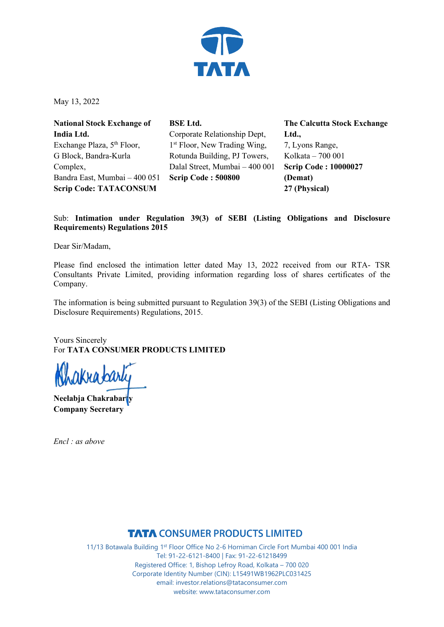

May 13, 2022

**National Stock Exchange of India Ltd.** Exchange Plaza, 5<sup>th</sup> Floor, G Block, Bandra-Kurla Complex, Bandra East, Mumbai – 400 051 **Scrip Code: TATACONSUM**

**BSE Ltd.** Corporate Relationship Dept, 1<sup>st</sup> Floor, New Trading Wing, Rotunda Building, PJ Towers, Dalal Street, Mumbai – 400 001 **Scrip Code : 500800**

**The Calcutta Stock Exchange Ltd.,** 7, Lyons Range, Kolkata – 700 001 **Scrip Code : 10000027 (Demat) 27 (Physical)**

## Sub: **Intimation under Regulation 39(3) of SEBI (Listing Obligations and Disclosure Requirements) Regulations 2015**

Dear Sir/Madam,

Please find enclosed the intimation letter dated May 13, 2022 received from our RTA- TSR Consultants Private Limited, providing information regarding loss of shares certificates of the Company.

The information is being submitted pursuant to Regulation 39(3) of the SEBI (Listing Obligations and Disclosure Requirements) Regulations, 2015.

Yours Sincerely For **TATA CONSUMER PRODUCTS LIMITED**

ikra*b*arl

**Neelabja Chakrabarty Company Secretary** 

*Encl : as above* 

**TATA CONSUMER PRODUCTS LIMITED**<br>11/13 Botawala Building 1<sup>st</sup> Floor Office No 2-6 Horniman Circle Fort Mumbai 400 001 India Tel: 91-22-6121-8400 | Fax: 91-22-61218499 Registered Office: 1, Bishop Lefroy Road, Kolkata – 700 020 Corporate Identity Number (CIN): L15491WB1962PLC031425 email: investor.relations@tataconsumer.com website: www.tataconsumer.com